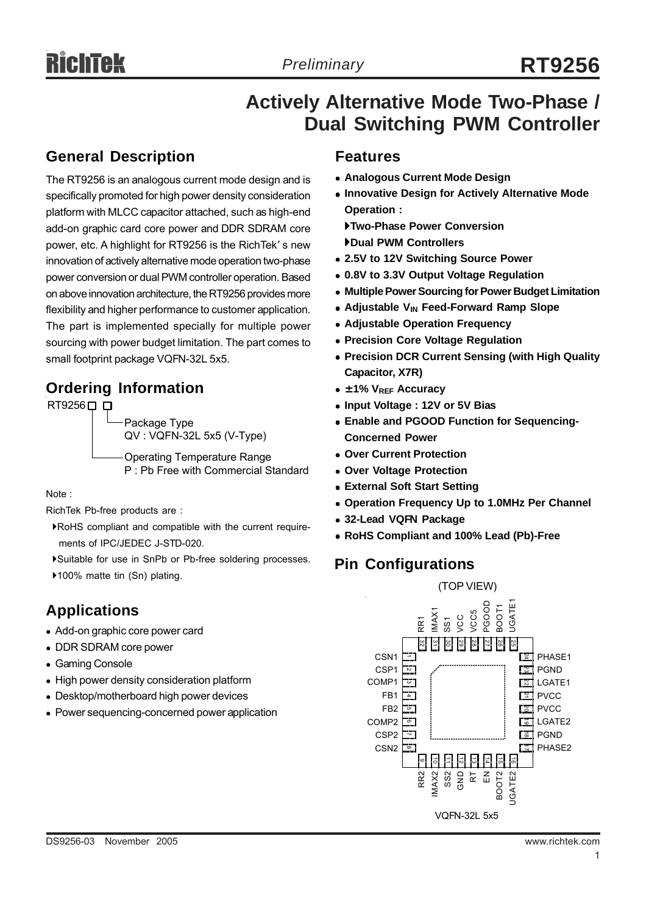## **Actively Alternative Mode Two-Phase / Dual Switching PWM Controller**

## **General Description**

The RT9256 is an analogous current mode design and is specifically promoted for high power density consideration platform with MLCC capacitor attached, such as high-end add-on graphic card core power and DDR SDRAM core power, etc. A highlight for RT9256 is the RichTek' s new innovation of actively alternative mode operation two-phase power conversion or dual PWM controller operation. Based on above innovation architecture, the RT9256 provides more flexibility and higher performance to customer application. The part is implemented specially for multiple power sourcing with power budget limitation. The part comes to small footprint package VQFN-32L 5x5.

## **Ordering Information**

RT9256□ □ Package Type QV : VQFN-32L 5x5 (V-Type) Operating Temperature Range P : Pb Free with Commercial Standard

Note :

RichTek Pb-free products are :

`RoHS compliant and compatible with the current require ments of IPC/JEDEC J-STD-020.

- `Suitable for use in SnPb or Pb-free soldering processes.
- ▶100% matte tin (Sn) plating.

## **Applications**

- Add-on graphic core power card
- DDR SDRAM core power
- Gaming Console
- High power density consideration platform
- Desktop/motherboard high power devices
- Power sequencing-concerned power application

#### **Features**

- **Analogous Current Mode Design**
- **Innovative Design for Actively Alternative Mode Operation :**

`**Two-Phase Power Conversion** `**Dual PWM Controllers**

- <sup>z</sup> **2.5V to 12V Switching Source Power**
- <sup>z</sup> **0.8V to 3.3V Output Voltage Regulation**
- **Multiple Power Sourcing for Power Budget Limitation**
- Adjustable V<sub>IN</sub> Feed-Forward Ramp Slope
- **Adjustable Operation Frequency**
- **Precision Core Voltage Regulation**
- **Precision DCR Current Sensing (with High Quality Capacitor, X7R)**
- <sup>z</sup> **± 1% VREF Accuracy**
- <sup>z</sup> **Input Voltage : 12V or 5V Bias**
- **Enable and PGOOD Function for Sequencing-Concerned Power**
- <sup>z</sup> **Over Current Protection**
- **Over Voltage Protection**
- **External Soft Start Setting**
- **Operation Frequency Up to 1.0MHz Per Channel**
- $\bullet$  32-Lead VQFN Package
- <sup>z</sup> **RoHS Compliant and 100% Lead (Pb)-Free**

## **Pin Configurations**

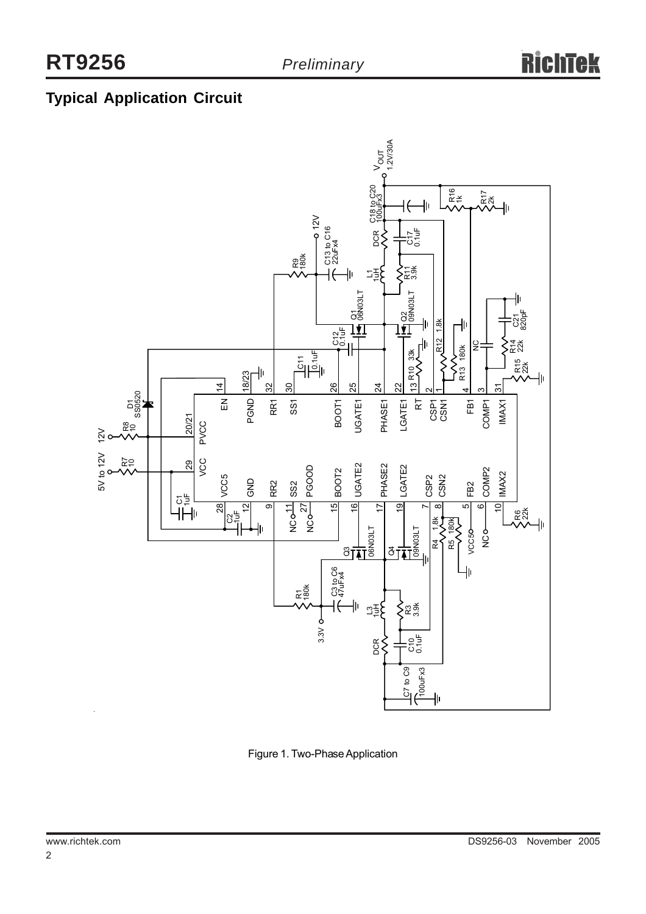## **Typical Application Circuit**



Figure 1. Two-Phase Application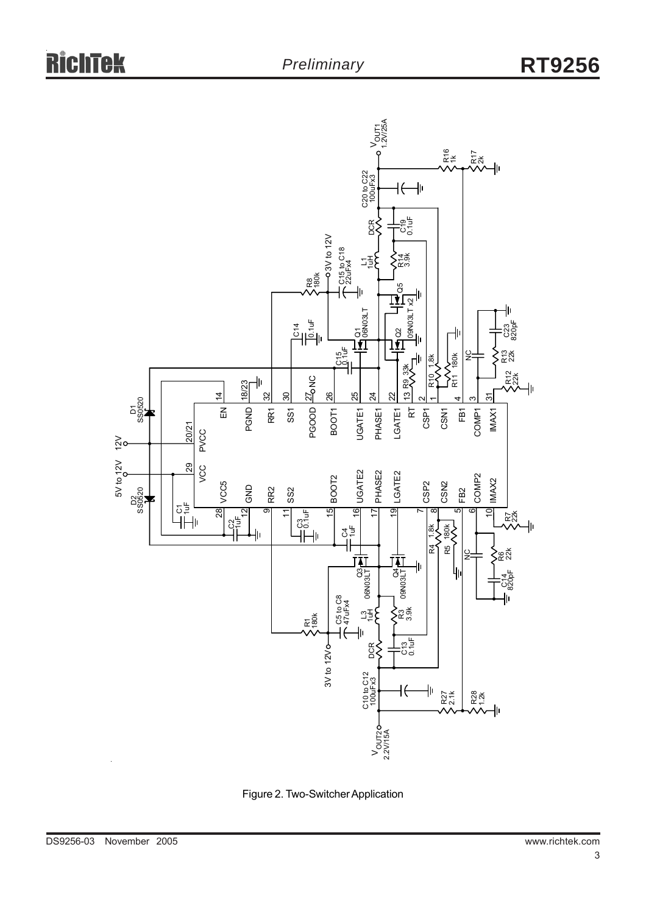

Figure 2. Two-Switcher Application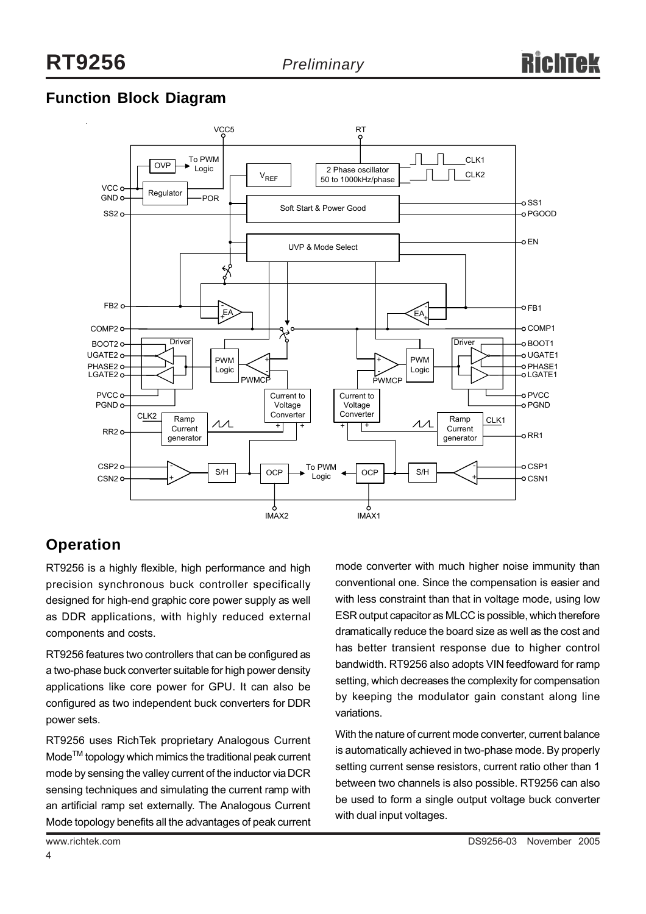## **Function Block Diagram**



## **Operation**

RT9256 is a highly flexible, high performance and high precision synchronous buck controller specifically designed for high-end graphic core power supply as well as DDR applications, with highly reduced external components and costs.

RT9256 features two controllers that can be configured as a two-phase buck converter suitable for high power density applications like core power for GPU. It can also be configured as two independent buck converters for DDR power sets.

RT9256 uses RichTek proprietary Analogous Current Mode<sup>™</sup> topology which mimics the traditional peak current mode by sensing the valley current of the inductor via DCR sensing techniques and simulating the current ramp with an artificial ramp set externally. The Analogous Current Mode topology benefits all the advantages of peak current

mode converter with much higher noise immunity than conventional one. Since the compensation is easier and with less constraint than that in voltage mode, using low ESR output capacitor as MLCC is possible, which therefore dramatically reduce the board size as well as the cost and has better transient response due to higher control bandwidth. RT9256 also adopts VIN feedfoward for ramp setting, which decreases the complexity for compensation by keeping the modulator gain constant along line variations.

With the nature of current mode converter, current balance is automatically achieved in two-phase mode. By properly setting current sense resistors, current ratio other than 1 between two channels is also possible. RT9256 can also be used to form a single output voltage buck converter with dual input voltages.

4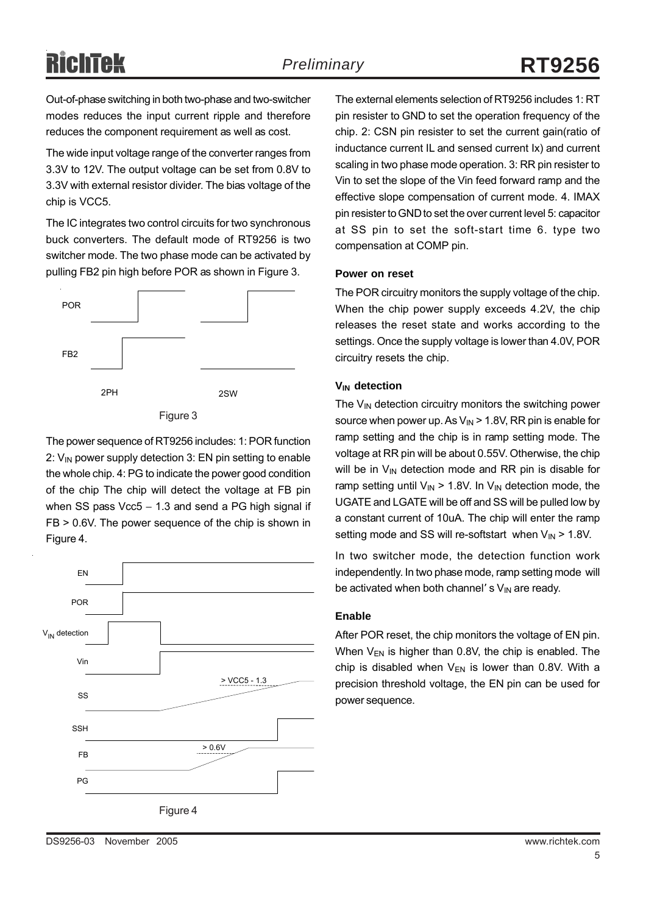Out-of-phase switching in both two-phase and two-switcher modes reduces the input current ripple and therefore reduces the component requirement as well as cost.

The wide input voltage range of the converter ranges from 3.3V to 12V. The output voltage can be set from 0.8V to 3.3V with external resistor divider. The bias voltage of the chip is VCC5.

The IC integrates two control circuits for two synchronous buck converters. The default mode of RT9256 is two switcher mode. The two phase mode can be activated by pulling FB2 pin high before POR as shown in Figure 3.



Figure 3

The power sequence of RT9256 includes: 1: POR function 2:  $V_{IN}$  power supply detection 3: EN pin setting to enable the whole chip. 4: PG to indicate the power good condition of the chip The chip will detect the voltage at FB pin when SS pass Vcc5 − 1.3 and send a PG high signal if FB > 0.6V. The power sequence of the chip is shown in Figure 4.



The external elements selection of RT9256 includes 1: RT pin resister to GND to set the operation frequency of the chip. 2: CSN pin resister to set the current gain(ratio of inductance current IL and sensed current Ix) and current scaling in two phase mode operation. 3: RR pin resister to Vin to set the slope of the Vin feed forward ramp and the effective slope compensation of current mode. 4. IMAX pin resister to GND to set the over current level 5: capacitor at SS pin to set the soft-start time 6. type two compensation at COMP pin.

#### **Power on reset**

The POR circuitry monitors the supply voltage of the chip. When the chip power supply exceeds 4.2V, the chip releases the reset state and works according to the settings. Once the supply voltage is lower than 4.0V, POR circuitry resets the chip.

#### **VIN detection**

The  $V_{\text{IN}}$  detection circuitry monitors the switching power source when power up. As  $V_{IN}$  > 1.8V, RR pin is enable for ramp setting and the chip is in ramp setting mode. The voltage at RR pin will be about 0.55V. Otherwise, the chip will be in  $V_{IN}$  detection mode and RR pin is disable for ramp setting until  $V_{IN}$  > 1.8V. In  $V_{IN}$  detection mode, the UGATE and LGATE will be off and SS will be pulled low by a constant current of 10uA. The chip will enter the ramp setting mode and SS will re-softstart when  $V_{IN}$  > 1.8V.

In two switcher mode, the detection function work independently. In two phase mode, ramp setting mode will be activated when both channel' s  $V_{IN}$  are ready.

#### **Enable**

After POR reset, the chip monitors the voltage of EN pin. When  $V_{FN}$  is higher than 0.8V, the chip is enabled. The chip is disabled when  $V_{EN}$  is lower than 0.8V. With a precision threshold voltage, the EN pin can be used for power sequence.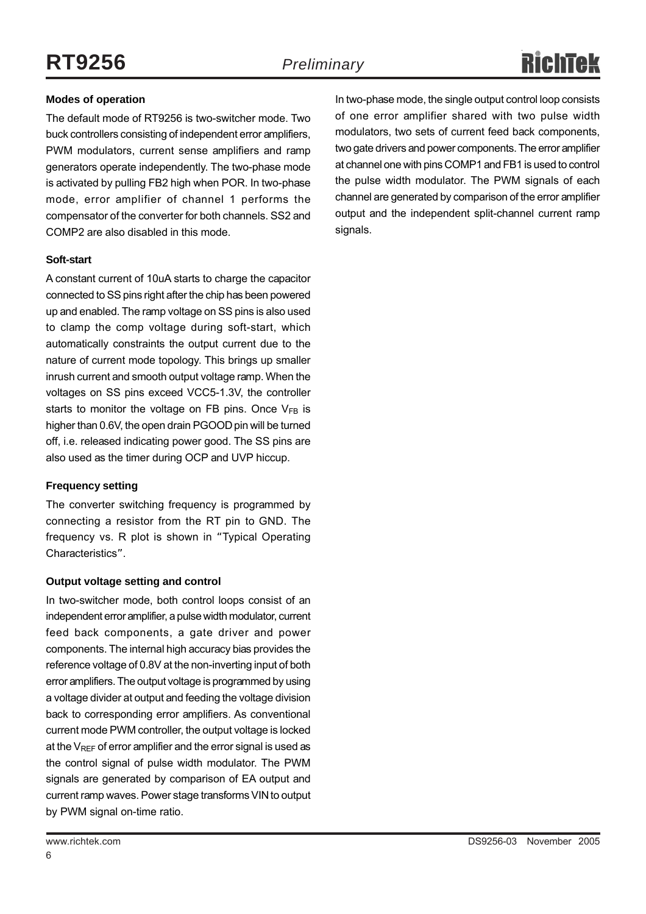#### **Modes of operation**

The default mode of RT9256 is two-switcher mode. Two buck controllers consisting of independent error amplifiers, PWM modulators, current sense amplifiers and ramp generators operate independently. The two-phase mode is activated by pulling FB2 high when POR. In two-phase mode, error amplifier of channel 1 performs the compensator of the converter for both channels. SS2 and COMP2 are also disabled in this mode.

#### **Soft-start**

A constant current of 10uA starts to charge the capacitor connected to SS pins right after the chip has been powered up and enabled. The ramp voltage on SS pins is also used to clamp the comp voltage during soft-start, which automatically constraints the output current due to the nature of current mode topology. This brings up smaller inrush current and smooth output voltage ramp. When the voltages on SS pins exceed VCC5-1.3V, the controller starts to monitor the voltage on FB pins. Once  $V_{FB}$  is higher than 0.6V, the open drain PGOOD pin will be turned off, i.e. released indicating power good. The SS pins are also used as the timer during OCP and UVP hiccup.

#### **Frequency setting**

The converter switching frequency is programmed by connecting a resistor from the RT pin to GND. The frequency vs. R plot is shown in "Typical Operating Characteristics".

#### **Output voltage setting and control**

In two-switcher mode, both control loops consist of an independent error amplifier, a pulse width modulator, current feed back components, a gate driver and power components. The internal high accuracy bias provides the reference voltage of 0.8V at the non-inverting input of both error amplifiers. The output voltage is programmed by using a voltage divider at output and feeding the voltage division back to corresponding error amplifiers. As conventional current mode PWM controller, the output voltage is locked at the  $V_{\text{REF}}$  of error amplifier and the error signal is used as the control signal of pulse width modulator. The PWM signals are generated by comparison of EA output and current ramp waves. Power stage transforms VIN to output by PWM signal on-time ratio.

In two-phase mode, the single output control loop consists of one error amplifier shared with two pulse width modulators, two sets of current feed back components, two gate drivers and power components. The error amplifier at channel one with pins COMP1 and FB1 is used to control the pulse width modulator. The PWM signals of each channel are generated by comparison of the error amplifier output and the independent split-channel current ramp signals.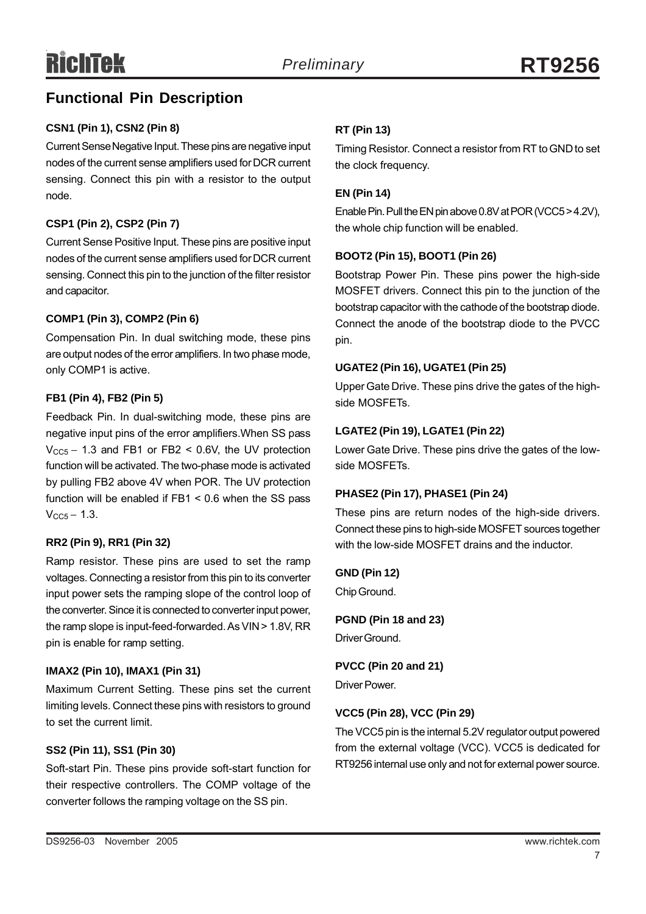## **Functional Pin Description**

#### **CSN1 (Pin 1), CSN2 (Pin 8)**

Current Sense Negative Input. These pins are negative input nodes of the current sense amplifiers used for DCR current sensing. Connect this pin with a resistor to the output node.

#### **CSP1 (Pin 2), CSP2 (Pin 7)**

Current Sense Positive Input. These pins are positive input nodes of the current sense amplifiers used for DCR current sensing. Connect this pin to the junction of the filter resistor and capacitor.

#### **COMP1 (Pin 3), COMP2 (Pin 6)**

Compensation Pin. In dual switching mode, these pins are output nodes of the error amplifiers. In two phase mode, only COMP1 is active.

#### **FB1 (Pin 4), FB2 (Pin 5)**

Feedback Pin. In dual-switching mode, these pins are negative input pins of the error amplifiers.When SS pass  $V_{CC5}$  – 1.3 and FB1 or FB2 < 0.6V, the UV protection function will be activated. The two-phase mode is activated by pulling FB2 above 4V when POR. The UV protection function will be enabled if FB1 < 0.6 when the SS pass  $V_{CC5} - 1.3$ .

#### **RR2 (Pin 9), RR1 (Pin 32)**

Ramp resistor. These pins are used to set the ramp voltages. Connecting a resistor from this pin to its converter input power sets the ramping slope of the control loop of the converter. Since it is connected to converter input power, the ramp slope is input-feed-forwarded. As VIN > 1.8V, RR pin is enable for ramp setting.

#### **IMAX2 (Pin 10), IMAX1 (Pin 31)**

Maximum Current Setting. These pins set the current limiting levels. Connect these pins with resistors to ground to set the current limit.

#### **SS2 (Pin 11), SS1 (Pin 30)**

Soft-start Pin. These pins provide soft-start function for their respective controllers. The COMP voltage of the converter follows the ramping voltage on the SS pin.

#### **RT (Pin 13)**

Timing Resistor. Connect a resistor from RT to GND to set the clock frequency.

#### **EN (Pin 14)**

Enable Pin. Pull the EN pin above 0.8V at POR (VCC5 > 4.2V), the whole chip function will be enabled.

#### **BOOT2 (Pin 15), BOOT1 (Pin 26)**

Bootstrap Power Pin. These pins power the high-side MOSFET drivers. Connect this pin to the junction of the bootstrap capacitor with the cathode of the bootstrap diode. Connect the anode of the bootstrap diode to the PVCC pin.

#### **UGATE2 (Pin 16), UGATE1 (Pin 25)**

Upper Gate Drive. These pins drive the gates of the highside MOSFETs.

#### **LGATE2 (Pin 19), LGATE1 (Pin 22)**

Lower Gate Drive. These pins drive the gates of the lowside MOSFETs.

#### **PHASE2 (Pin 17), PHASE1 (Pin 24)**

These pins are return nodes of the high-side drivers. Connect these pins to high-side MOSFET sources together with the low-side MOSFET drains and the inductor.

#### **GND (Pin 12)**

Chip Ground.

**PGND (Pin 18 and 23)** Driver Ground.

**PVCC (Pin 20 and 21)**

Driver Power.

#### **VCC5 (Pin 28), VCC (Pin 29)**

The VCC5 pin is the internal 5.2V regulator output powered from the external voltage (VCC). VCC5 is dedicated for RT9256 internal use only and not for external power source.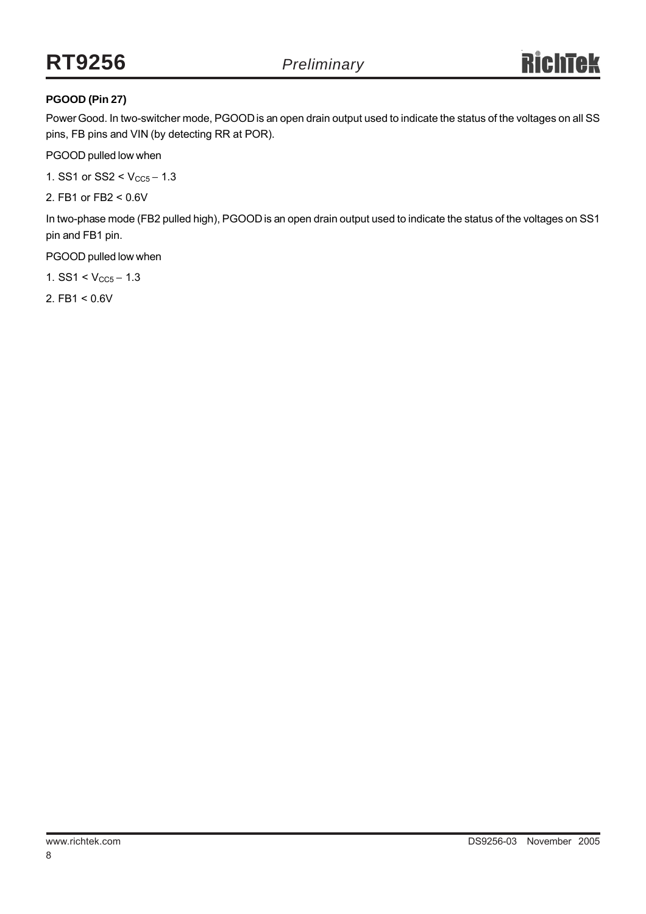## **RT9256** *Preliminary*

#### **PGOOD (Pin 27)**

Power Good. In two-switcher mode, PGOOD is an open drain output used to indicate the status of the voltages on all SS pins, FB pins and VIN (by detecting RR at POR).

PGOOD pulled low when

1. SS1 or SS2 <  $V_{CC5}$  – 1.3

2. FB1 or FB2 < 0.6V

In two-phase mode (FB2 pulled high), PGOOD is an open drain output used to indicate the status of the voltages on SS1 pin and FB1 pin.

PGOOD pulled low when

1. SS1 <  $V_{CC5}$  – 1.3

2. FB1 < 0.6V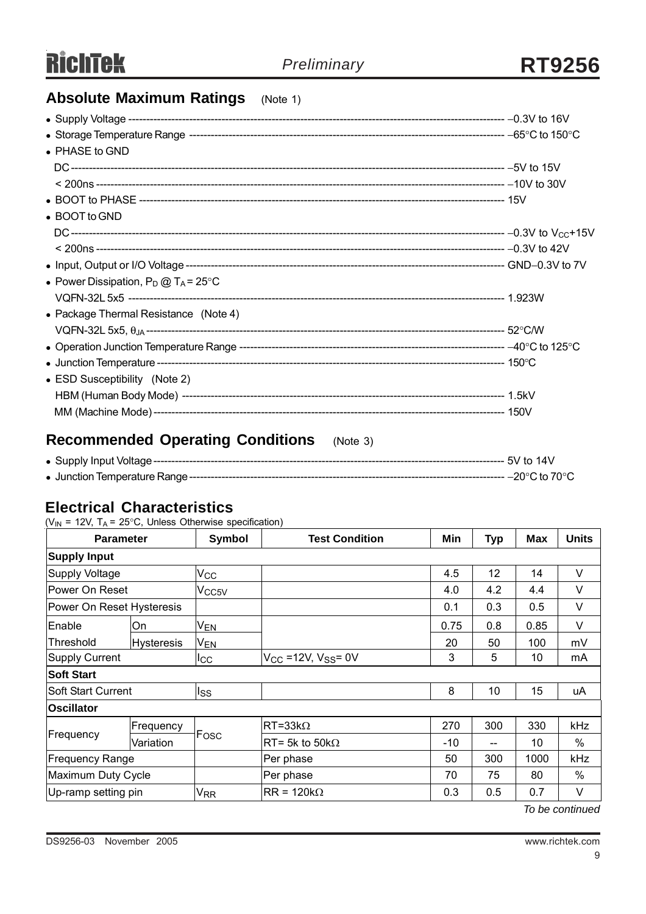## **Absolute Maximum Ratings** (Note 1)

| $\bullet$ PHASE to GND                         |  |
|------------------------------------------------|--|
|                                                |  |
|                                                |  |
|                                                |  |
| • BOOT to GND                                  |  |
|                                                |  |
|                                                |  |
|                                                |  |
| • Power Dissipation, $P_D @ T_A = 25^{\circ}C$ |  |
|                                                |  |
| • Package Thermal Resistance (Note 4)          |  |
|                                                |  |
|                                                |  |
|                                                |  |
| • ESD Susceptibility (Note 2)                  |  |
|                                                |  |
|                                                |  |

## **Recommended Operating Conditions** (Note 3)

## **Electrical Characteristics**

( $V_{IN}$  = 12V, T<sub>A</sub> = 25°C, Unless Otherwise specification)

|                           | <b>Parameter</b>  | Symbol                       | <b>Test Condition</b>        | Min  | <b>Typ</b> | <b>Max</b> | <b>Units</b> |
|---------------------------|-------------------|------------------------------|------------------------------|------|------------|------------|--------------|
| <b>Supply Input</b>       |                   |                              |                              |      |            |            |              |
| Supply Voltage            |                   | $V_{\rm CC}$                 |                              | 4.5  | 12         | 14         | V            |
| Power On Reset            |                   | V <sub>CC5V</sub>            |                              | 4.0  | 4.2        | 4.4        | V            |
| Power On Reset Hysteresis |                   |                              |                              | 0.1  | 0.3        | 0.5        | V            |
| Enable                    | On                | V <sub>EN</sub>              |                              | 0.75 | 0.8        | 0.85       | V            |
| Threshold                 | <b>Hysteresis</b> | <sub>I</sub> V <sub>EN</sub> |                              | 20   | 50         | 100        | mV           |
| <b>Supply Current</b>     |                   | Icc                          | $V_{CC}$ =12V, $V_{SS}$ = 0V | 3    | 5          | 10         | mA           |
| <b>Soft Start</b>         |                   |                              |                              |      |            |            |              |
| <b>Soft Start Current</b> |                   | lss                          |                              | 8    | 10         | 15         | uA           |
| <b>Oscillator</b>         |                   |                              |                              |      |            |            |              |
|                           | Frequency         | <b>IFosc</b>                 | $RT = 33k\Omega$             | 270  | 300        | 330        | kHz          |
| Frequency                 | Variation         |                              | $RT = 5k$ to $50k\Omega$     | -10  | --         | 10         | $\%$         |
| <b>Frequency Range</b>    |                   |                              | Per phase                    | 50   | 300        | 1000       | kHz          |
| Maximum Duty Cycle        |                   |                              | Per phase                    | 70   | 75         | 80         | $\%$         |
| Up-ramp setting pin       |                   | <b>V<sub>RR</sub></b>        | $RR = 120k\Omega$            | 0.3  | 0.5        | 0.7        | V            |

*To be continued*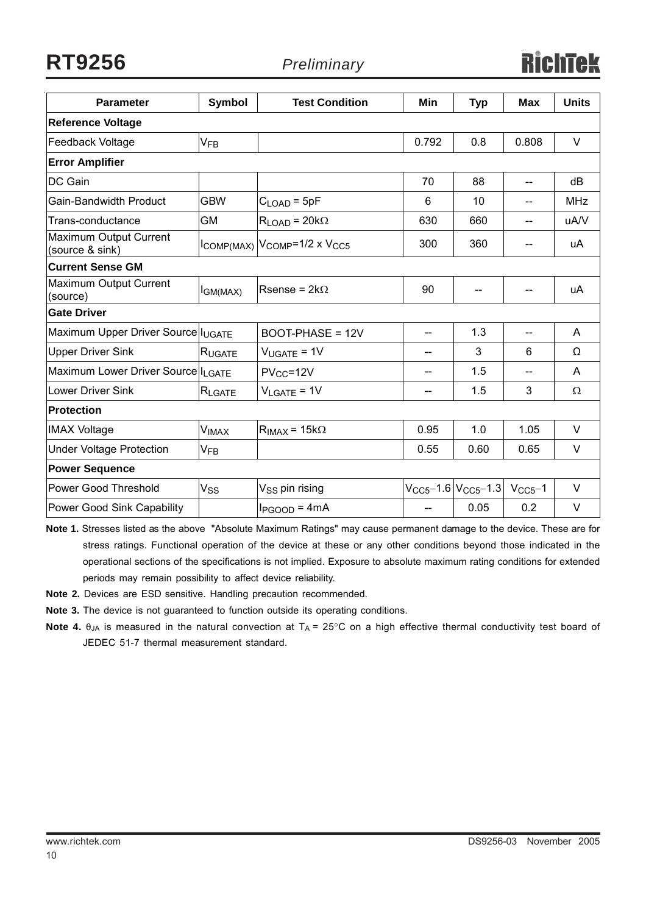**RT9256** *Preliminary*

| <b>Parameter</b>                          | <b>Symbol</b>         | <b>Test Condition</b>       | Min               | <b>Typ</b>                     | <b>Max</b>     | <b>Units</b> |
|-------------------------------------------|-----------------------|-----------------------------|-------------------|--------------------------------|----------------|--------------|
| <b>Reference Voltage</b>                  |                       |                             |                   |                                |                |              |
| <b>Feedback Voltage</b>                   | <b>V<sub>FB</sub></b> |                             | 0.792             | 0.8                            | 0.808          | $\vee$       |
| <b>Error Amplifier</b>                    |                       |                             |                   |                                |                |              |
| DC Gain                                   |                       |                             | 70                | 88                             | $\overline{a}$ | dB           |
| <b>Gain-Bandwidth Product</b>             | <b>GBW</b>            | $C_{\text{LOAD}} = 5pF$     | 6                 | 10                             | --             | <b>MHz</b>   |
| Trans-conductance                         | <b>GM</b>             | $R_{LOAD} = 20k\Omega$      | 630               | 660                            | $-$            | uA/V         |
| Maximum Output Current<br>(source & sink) |                       | ICOMP(MAX) VCOMP=1/2 x VCC5 | 300               | 360                            | --             | uA           |
| <b>Current Sense GM</b>                   |                       |                             |                   |                                |                |              |
| Maximum Output Current<br>(source)        | I <sub>GM(MAX)</sub>  | Rsense = $2k\Omega$         | 90                | $\qquad \qquad -$              |                | uA           |
| <b>Gate Driver</b>                        |                       |                             |                   |                                |                |              |
| Maximum Upper Driver Source IUGATE        |                       | BOOT-PHASE = 12V            | --                | 1.3                            |                | A            |
| <b>Upper Driver Sink</b>                  | RUGATE                | $V_{UGATE} = 1V$            | $- -$             | 3                              | 6              | $\Omega$     |
| Maximum Lower Driver Source ILGATE        |                       | $PV_{CC} = 12V$             |                   | 1.5                            |                | A            |
| Lower Driver Sink                         | RLGATE                | $V_{LGATE} = 1V$            | --                | 1.5                            | 3              | $\Omega$     |
| <b>Protection</b>                         |                       |                             |                   |                                |                |              |
| <b>IMAX Voltage</b>                       | <b>VIMAX</b>          | $R_{IMAX}$ = 15k $\Omega$   | 0.95              | 1.0                            | 1.05           | $\vee$       |
| <b>Under Voltage Protection</b>           | $V_{FB}$              |                             | 0.55              | 0.60                           | 0.65           | $\vee$       |
| <b>Power Sequence</b>                     |                       |                             |                   |                                |                |              |
| Power Good Threshold                      | Vss                   | V <sub>SS</sub> pin rising  |                   | $V_{CC5}$ -1.6 $ V_{CC5}$ -1.3 | $VCC5-1$       | $\vee$       |
| Power Good Sink Capability                |                       | $I_{PGOOD} = 4mA$           | $\qquad \qquad -$ | 0.05                           | 0.2            | V            |

**Note 1.** Stresses listed as the above "Absolute Maximum Ratings" may cause permanent damage to the device. These are for stress ratings. Functional operation of the device at these or any other conditions beyond those indicated in the operational sections of the specifications is not implied. Exposure to absolute maximum rating conditions for extended periods may remain possibility to affect device reliability.

**Note 2.** Devices are ESD sensitive. Handling precaution recommended.

**Note 3.** The device is not guaranteed to function outside its operating conditions.

**Note 4.** θ<sub>JA</sub> is measured in the natural convection at T<sub>A</sub> = 25°C on a high effective thermal conductivity test board of JEDEC 51-7 thermal measurement standard.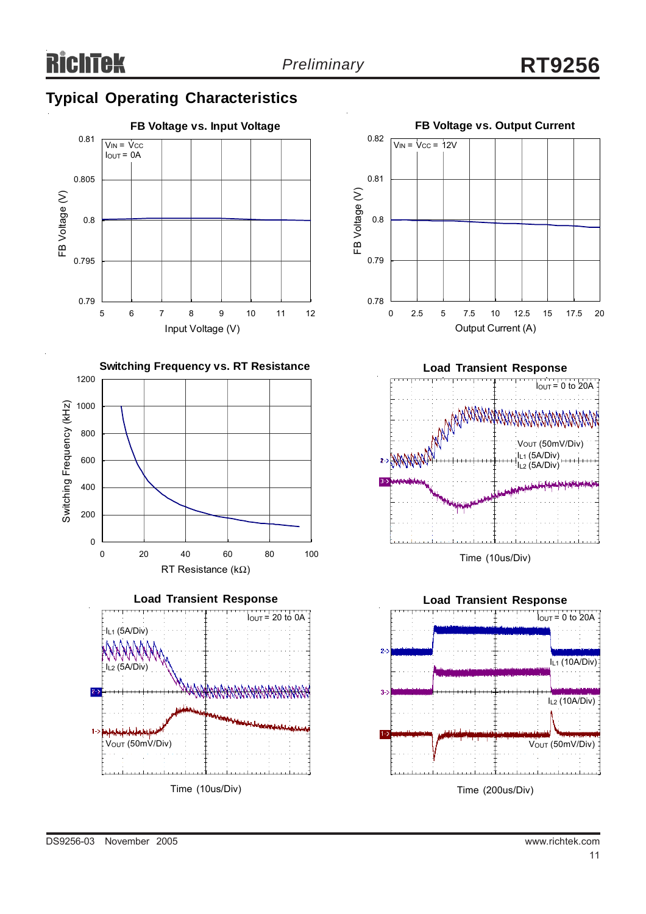## **Typical Operating Characteristics**













Time (10us/Div)

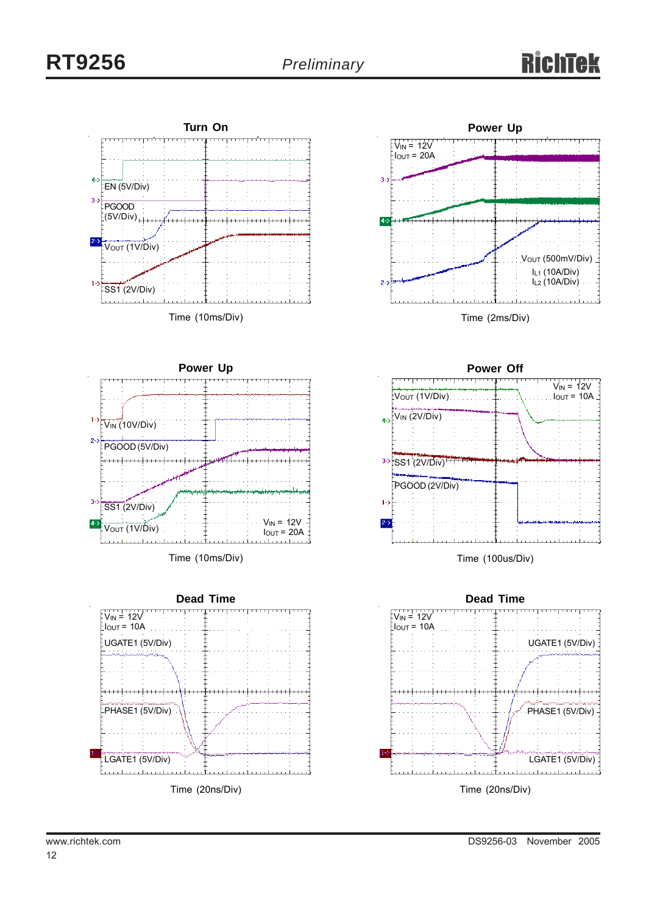



Time (2ms/Div)



Time (100us/Div)

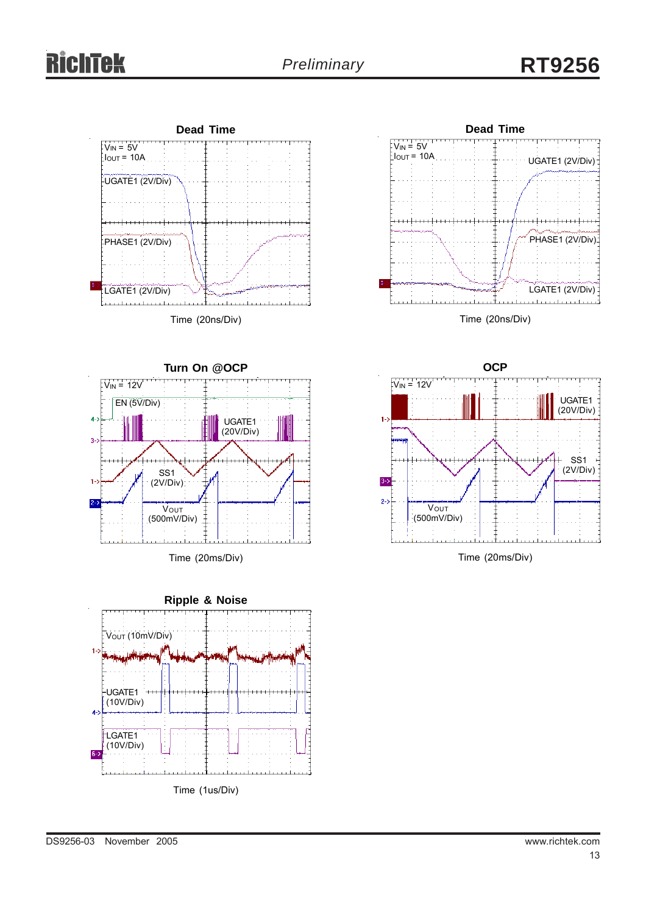



Time (20ns/Div)



Time (20ms/Div)





Time (20ms/Div)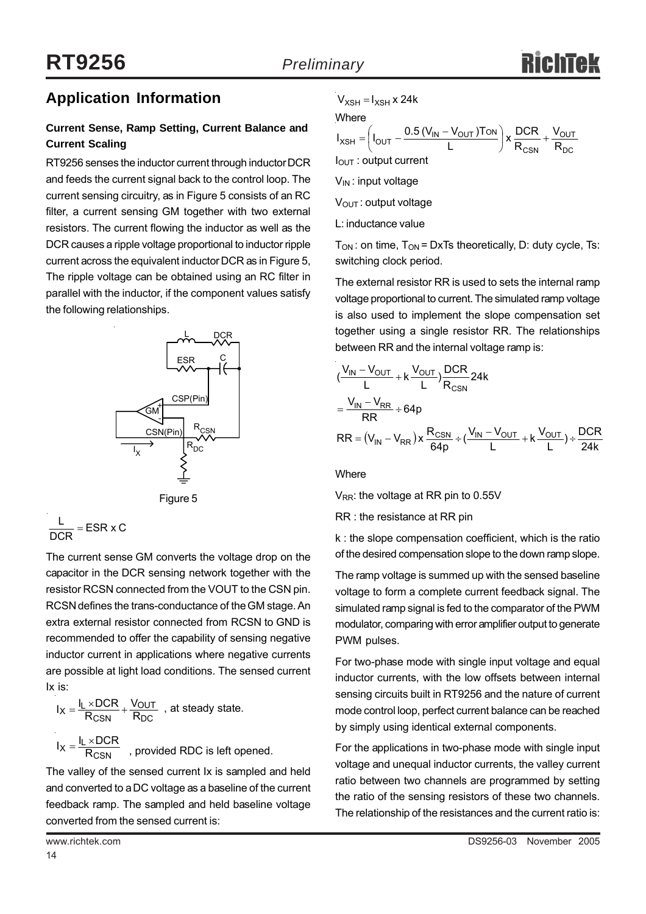

### **Application Information**

#### **Current Sense, Ramp Setting, Current Balance and Current Scaling**

RT9256 senses the inductor current through inductor DCR and feeds the current signal back to the control loop. The current sensing circuitry, as in Figure 5 consists of an RC filter, a current sensing GM together with two external resistors. The current flowing the inductor as well as the DCR causes a ripple voltage proportional to inductor ripple current across the equivalent inductor DCR as in Figure 5, The ripple voltage can be obtained using an RC filter in parallel with the inductor, if the component values satisfy the following relationships.



Figure 5

$$
\frac{L}{DCR} = ESR \times C
$$

The current sense GM converts the voltage drop on the capacitor in the DCR sensing network together with the resistor RCSN connected from the VOUT to the CSN pin. RCSN defines the trans-conductance of the GM stage. An extra external resistor connected from RCSN to GND is recommended to offer the capability of sensing negative inductor current in applications where negative currents are possible at light load conditions. The sensed current Ix is:

$$
I_X = \frac{I_L \times DCR}{R_{CSN}} + \frac{V_{OUT}}{R_{DC}}
$$
, at steady state.  
 $I_X = \frac{I_L \times DCR}{R_{CSN}}$ , provided RDC is left opened.

The valley of the sensed current Ix is sampled and held and converted to a DC voltage as a baseline of the current feedback ramp. The sampled and held baseline voltage converted from the sensed current is:

#### **Where**

$$
I_{XSH} = \left( I_{OUT} - \frac{0.5 (V_{IN} - V_{OUT}) \text{TON}}{L} \right) \times \frac{\text{DCR}}{\text{R}_{CSN}} + \frac{V_{OUT}}{\text{R}_{DC}}
$$
  
  $I_{OUT}$  : output current

 $V_{IN}$ : input voltage

V<sub>OUT</sub>: output voltage

L: inductance value

 $T_{ON}$ : on time,  $T_{ON}$  = DxTs theoretically, D: duty cycle, Ts: switching clock period.

The external resistor RR is used to sets the internal ramp voltage proportional to current. The simulated ramp voltage is also used to implement the slope compensation set together using a single resistor RR. The relationships between RR and the internal voltage ramp is:

$$
\frac{(V_{IN} - V_{OUT}}{L} + k \frac{V_{OUT}}{L}) \frac{DCR}{R_{CNN}} 24k
$$
\n
$$
= \frac{V_{IN} - V_{RR}}{RR} \div 64p
$$
\n
$$
RR = (V_{IN} - V_{RR}) \times \frac{R_{CSN}}{64p} \div (\frac{V_{IN} - V_{OUT}}{L} + k \frac{V_{OUT}}{L}) \div \frac{DCR}{24k}
$$

**Where** 

 $V_{RR}$ : the voltage at RR pin to 0.55V

#### RR : the resistance at RR pin

k : the slope compensation coefficient, which is the ratio of the desired compensation slope to the down ramp slope.

The ramp voltage is summed up with the sensed baseline voltage to form a complete current feedback signal. The simulated ramp signal is fed to the comparator of the PWM modulator, comparing with error amplifier output to generate PWM pulses.

For two-phase mode with single input voltage and equal inductor currents, with the low offsets between internal sensing circuits built in RT9256 and the nature of current mode control loop, perfect current balance can be reached by simply using identical external components.

For the applications in two-phase mode with single input voltage and unequal inductor currents, the valley current ratio between two channels are programmed by setting the ratio of the sensing resistors of these two channels. The relationship of the resistances and the current ratio is: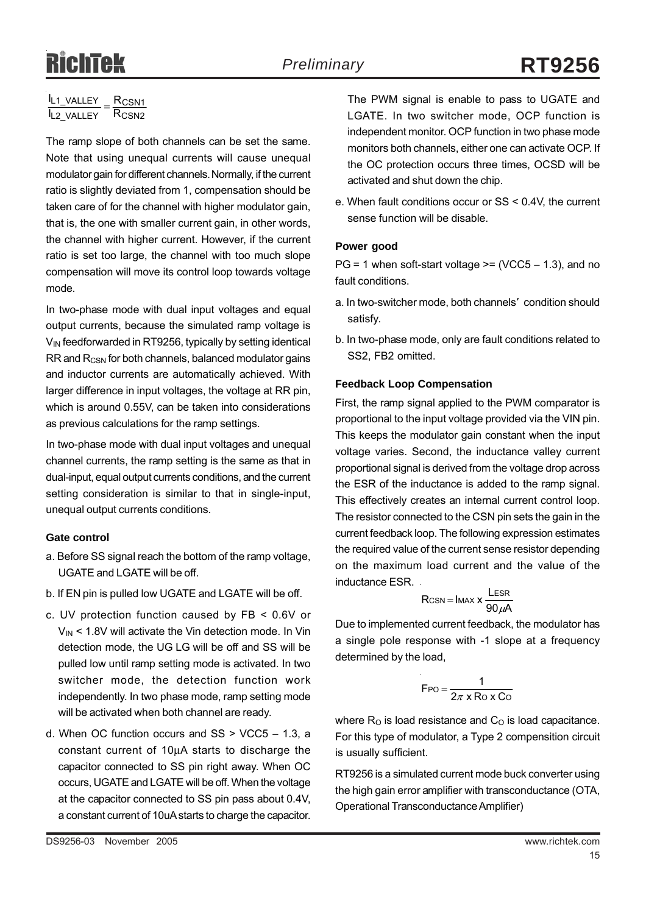# Richtek

#### **IL2\_VALLEY** RCSN2  $\frac{I_{L1_VALLEY}}{I} = \frac{R_{CSN1}}{R}$

The ramp slope of both channels can be set the same. Note that using unequal currents will cause unequal modulator gain for different channels. Normally, if the current ratio is slightly deviated from 1, compensation should be taken care of for the channel with higher modulator gain, that is, the one with smaller current gain, in other words, the channel with higher current. However, if the current ratio is set too large, the channel with too much slope compensation will move its control loop towards voltage mode.

In two-phase mode with dual input voltages and equal output currents, because the simulated ramp voltage is V<sub>IN</sub> feedforwarded in RT9256, typically by setting identical RR and R<sub>CSN</sub> for both channels, balanced modulator gains and inductor currents are automatically achieved. With larger difference in input voltages, the voltage at RR pin, which is around 0.55V, can be taken into considerations as previous calculations for the ramp settings.

In two-phase mode with dual input voltages and unequal channel currents, the ramp setting is the same as that in dual-input, equal output currents conditions, and the current setting consideration is similar to that in single-input, unequal output currents conditions.

#### **Gate control**

- a. Before SS signal reach the bottom of the ramp voltage, UGATE and LGATE will be off.
- b. If EN pin is pulled low UGATE and LGATE will be off.
- c. UV protection function caused by FB < 0.6V or  $V_{\text{IN}}$  < 1.8V will activate the Vin detection mode. In Vin detection mode, the UG LG will be off and SS will be pulled low until ramp setting mode is activated. In two switcher mode, the detection function work independently. In two phase mode, ramp setting mode will be activated when both channel are ready.
- d. When OC function occurs and SS > VCC5 − 1.3, a constant current of 10μA starts to discharge the capacitor connected to SS pin right away. When OC occurs, UGATE and LGATE will be off. When the voltage at the capacitor connected to SS pin pass about 0.4V, a constant current of 10uA starts to charge the capacitor.

The PWM signal is enable to pass to UGATE and LGATE. In two switcher mode, OCP function is independent monitor. OCP function in two phase mode monitors both channels, either one can activate OCP. If the OC protection occurs three times, OCSD will be activated and shut down the chip.

e. When fault conditions occur or SS < 0.4V, the current sense function will be disable.

#### **Power good**

PG = 1 when soft-start voltage >=  $(VCC5 - 1.3)$ , and no fault conditions.

- a. In two-switcher mode, both channels' condition should satisfy.
- b. In two-phase mode, only are fault conditions related to SS2, FB2 omitted.

#### **Feedback Loop Compensation**

First, the ramp signal applied to the PWM comparator is proportional to the input voltage provided via the VIN pin. This keeps the modulator gain constant when the input voltage varies. Second, the inductance valley current proportional signal is derived from the voltage drop across the ESR of the inductance is added to the ramp signal. This effectively creates an internal current control loop. The resistor connected to the CSN pin sets the gain in the current feedback loop. The following expression estimates the required value of the current sense resistor depending on the maximum load current and the value of the inductance ESR.

$$
R_{CSN} = I_{MAX} \times \frac{L_{ESR}}{90 \mu A}
$$

Due to implemented current feedback, the modulator has a single pole response with -1 slope at a frequency determined by the load,

$$
F_{PO} = \frac{1}{2\pi \times R_0 \times C_0}
$$

where  $R<sub>O</sub>$  is load resistance and  $C<sub>O</sub>$  is load capacitance. For this type of modulator, a Type 2 compensition circuit is usually sufficient.

RT9256 is a simulated current mode buck converter using the high gain error amplifier with transconductance (OTA, Operational Transconductance Amplifier)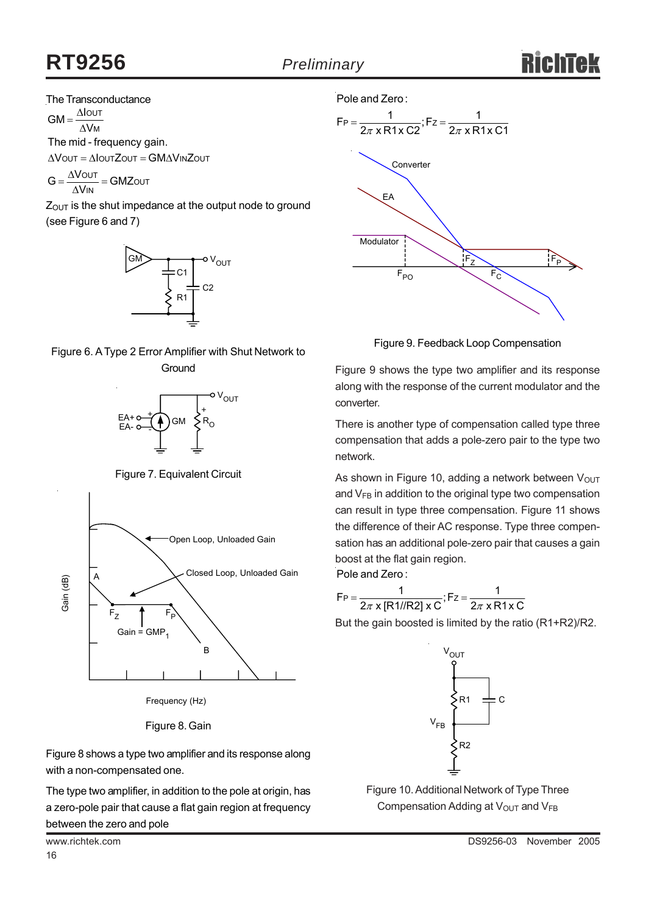#### The Transconductance

ΔV<sub>M</sub>  $=\frac{\Delta\text{IoUT}}{\Delta}$ The mid - frequency gain.  $GM =$ 

ΔVουτ = ΔΙουτΖουτ = GMΔVιnΖουτ

— = GMZ0ut<br><sub>IN</sub>  $G = \frac{\Delta V_{\text{OUT}}}{\Delta V_{\text{IN}}} = \text{GMZ}$ 

 $Z<sub>OUT</sub>$  is the shut impedance at the output node to ground (see Figure 6 and 7)







Figure 7. Equivalent Circuit



Frequency (Hz)

Figure 8. Gain

Figure 8 shows a type two amplifier and its response along with a non-compensated one.

The type two amplifier, in addition to the pole at origin, has a zero-pole pair that cause a flat gain region at frequency between the zero and pole

Pole and Zero:



Figure 9. Feedback Loop Compensation

Figure 9 shows the type two amplifier and its response along with the response of the current modulator and the converter.

There is another type of compensation called type three compensation that adds a pole-zero pair to the type two network.

As shown in Figure 10, adding a network between  $V_{\text{OUT}}$ and  $V_{FB}$  in addition to the original type two compensation can result in type three compensation. Figure 11 shows the difference of their AC response. Type three compensation has an additional pole-zero pair that causes a gain boost at the flat gain region.

Pole and Zero :

$$
F_P = \frac{1}{2\pi \times [R1/IR2] \times C}; F_Z = \frac{1}{2\pi \times R1 \times C}
$$

But the gain boosted is limited by the ratio (R1+R2)/R2.



Figure 10. Additional Network of Type Three Compensation Adding at  $V_{\text{OUT}}$  and  $V_{\text{FB}}$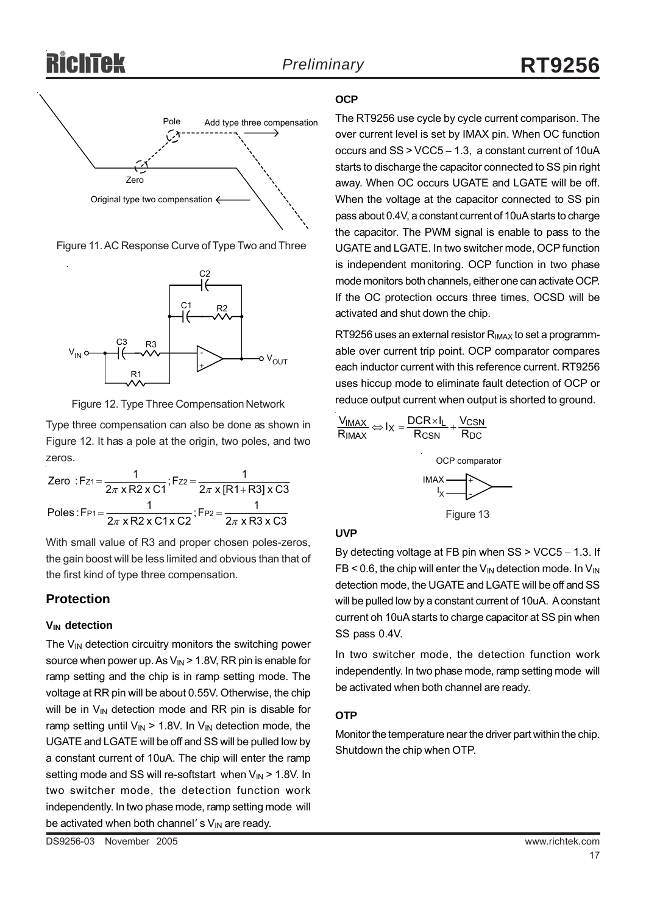

Figure 11. AC Response Curve of Type Two and Three



Figure 12. Type Three Compensation Network

Type three compensation can also be done as shown in Figure 12. It has a pole at the origin, two poles, and two zeros.

|  | Zero: Fz <sub>1</sub> = $\frac{1}{2\pi \times R2 \times C1}$ ; Fz <sub>2</sub> = $\frac{1}{2\pi \times [R1 + R3] \times C3}$ |
|--|------------------------------------------------------------------------------------------------------------------------------|
|  |                                                                                                                              |
|  | Poles: F <sub>P1</sub> = $\frac{1}{2\pi x R2 x C1 x C2}$ ; F <sub>P2</sub> = $\frac{1}{2\pi x R3 x C3}$                      |

With small value of R3 and proper chosen poles-zeros, the gain boost will be less limited and obvious than that of the first kind of type three compensation.

### **Protection**

#### **VIN detection**

The  $V_{IN}$  detection circuitry monitors the switching power source when power up. As  $V_{\text{IN}}$  > 1.8V, RR pin is enable for ramp setting and the chip is in ramp setting mode. The voltage at RR pin will be about 0.55V. Otherwise, the chip will be in  $V_{IN}$  detection mode and RR pin is disable for ramp setting until  $V_{IN}$  > 1.8V. In  $V_{IN}$  detection mode, the UGATE and LGATE will be off and SS will be pulled low by a constant current of 10uA. The chip will enter the ramp setting mode and SS will re-softstart when  $V_{IN}$  > 1.8V. In two switcher mode, the detection function work independently. In two phase mode, ramp setting mode will be activated when both channel' s  $V_{IN}$  are ready.

The RT9256 use cycle by cycle current comparison. The over current level is set by IMAX pin. When OC function occurs and SS > VCC5 − 1.3, a constant current of 10uA starts to discharge the capacitor connected to SS pin right away. When OC occurs UGATE and LGATE will be off. When the voltage at the capacitor connected to SS pin pass about 0.4V, a constant current of 10uA starts to charge the capacitor. The PWM signal is enable to pass to the UGATE and LGATE. In two switcher mode, OCP function is independent monitoring. OCP function in two phase mode monitors both channels, either one can activate OCP. If the OC protection occurs three times, OCSD will be activated and shut down the chip.

RT9256 uses an external resistor  $R_{IMAX}$  to set a programmable over current trip point. OCP comparator compares each inductor current with this reference current. RT9256 uses hiccup mode to eliminate fault detection of OCP or reduce output current when output is shorted to ground.

$$
\frac{V_{IMAX}}{R_{IMAX}} \Leftrightarrow I_X = \frac{DCR \times I_L}{R_{CSN}} + \frac{V_{CSN}}{R_{DC}}
$$



#### **UVP**

By detecting voltage at FB pin when SS > VCC5 − 1.3. If  $FB < 0.6$ , the chip will enter the  $V_{IN}$  detection mode. In  $V_{IN}$ detection mode, the UGATE and LGATE will be off and SS will be pulled low by a constant current of 10uA. A constant current oh 10uA starts to charge capacitor at SS pin when SS pass 0.4V.

In two switcher mode, the detection function work independently. In two phase mode, ramp setting mode will be activated when both channel are ready.

#### **OTP**

Monitor the temperature near the driver part within the chip. Shutdown the chip when OTP.